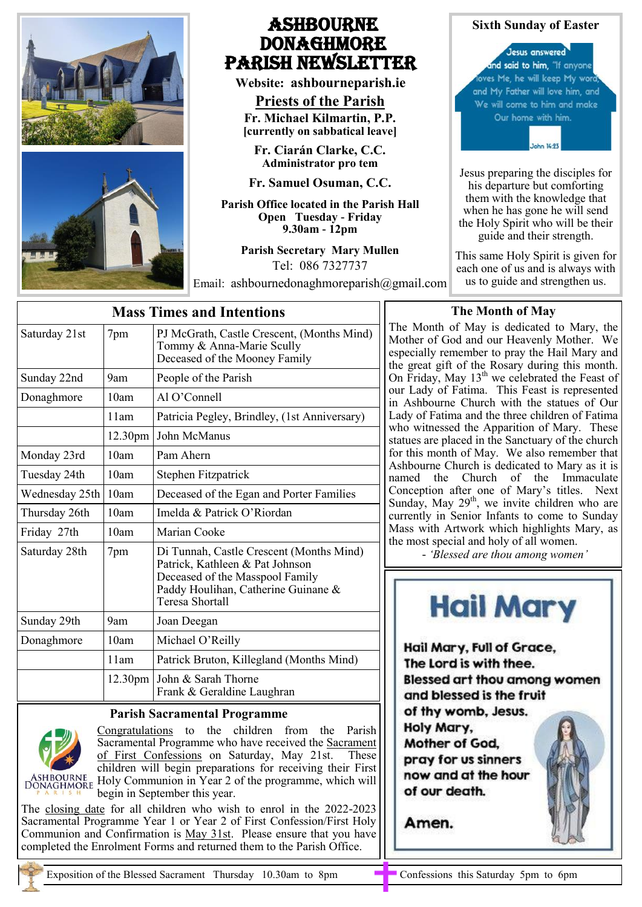

# Ashbourne **DONAGHMORE** Parish NEWSLETTER

**Website: ashbourneparish.ie**

**Priests of the Parish Fr. Michael Kilmartin, P.P. [currently on sabbatical leave]**

**Fr. Ciarán Clarke, C.C. Administrator pro tem**

**Fr. Samuel Osuman, C.C.**

**Parish Office located in the Parish Hall Open Tuesday - Friday 9.30am - 12pm**

> **Parish Secretary Mary Mullen** Tel: 086 7327737

Email: ashbournedonaghmoreparish@gmail.com



his departure but comforting them with the knowledge that when he has gone he will send the Holy Spirit who will be their guide and their strength.

This same Holy Spirit is given for each one of us and is always with us to guide and strengthen us.

| <b>Mass Times and Intentions</b> |                     |                                                                                                                                                                          |
|----------------------------------|---------------------|--------------------------------------------------------------------------------------------------------------------------------------------------------------------------|
| Saturday 21st                    | 7pm                 | PJ McGrath, Castle Crescent, (Months Mind)<br>Tommy & Anna-Marie Scully<br>Deceased of the Mooney Family                                                                 |
| Sunday 22nd                      | 9am                 | People of the Parish                                                                                                                                                     |
| Donaghmore                       | 10am                | $Al O'C$ onnell                                                                                                                                                          |
|                                  | 11am                | Patricia Pegley, Brindley, (1st Anniversary)                                                                                                                             |
|                                  | 12.30pm             | John McManus                                                                                                                                                             |
| Monday 23rd                      | 10am                | Pam Ahern                                                                                                                                                                |
| Tuesday 24th                     | 10am                | Stephen Fitzpatrick                                                                                                                                                      |
| Wednesday 25th                   | 10am                | Deceased of the Egan and Porter Families                                                                                                                                 |
| Thursday 26th                    | 10am                | Imelda & Patrick O'Riordan                                                                                                                                               |
| Friday 27th                      | 10am                | Marian Cooke                                                                                                                                                             |
| Saturday 28th                    | 7pm                 | Di Tunnah, Castle Crescent (Months Mind)<br>Patrick, Kathleen & Pat Johnson<br>Deceased of the Masspool Family<br>Paddy Houlihan, Catherine Guinane &<br>Teresa Shortall |
| Sunday 29th                      | 9am                 | Joan Deegan                                                                                                                                                              |
| Donaghmore                       | 10am                | Michael O'Reilly                                                                                                                                                         |
|                                  | 11am                | Patrick Bruton, Killegland (Months Mind)                                                                                                                                 |
|                                  | 12.30 <sub>pm</sub> | John & Sarah Thorne<br>Frank & Geraldine Laughran                                                                                                                        |

# **Parish Sacramental Programme**



Congratulations to the children from the Parish Sacramental Programme who have received the Sacrament of First Confessions on Saturday, May 21st. These children will begin preparations for receiving their First ASHBOURNE Holy Communion in Year 2 of the programme, which will begin in September this year.

The closing date for all children who wish to enrol in the 2022-2023 Sacramental Programme Year 1 or Year 2 of First Confession/First Holy Communion and Confirmation is May 31st. Please ensure that you have completed the Enrolment Forms and returned them to the Parish Office.

# **The Month of May**

The Month of May is dedicated to Mary, the Mother of God and our Heavenly Mother. We especially remember to pray the Hail Mary and the great gift of the Rosary during this month. On Friday, May  $13<sup>th</sup>$  we celebrated the Feast of our Lady of Fatima. This Feast is represented in Ashbourne Church with the statues of Our Lady of Fatima and the three children of Fatima who witnessed the Apparition of Mary. These statues are placed in the Sanctuary of the church for this month of May. We also remember that Ashbourne Church is dedicated to Mary as it is named the Church of the Immaculate Conception after one of Mary's titles. Next Sunday, May  $29<sup>th</sup>$ , we invite children who are currently in Senior Infants to come to Sunday Mass with Artwork which highlights Mary, as the most special and holy of all women.

- *'Blessed are thou among women'*